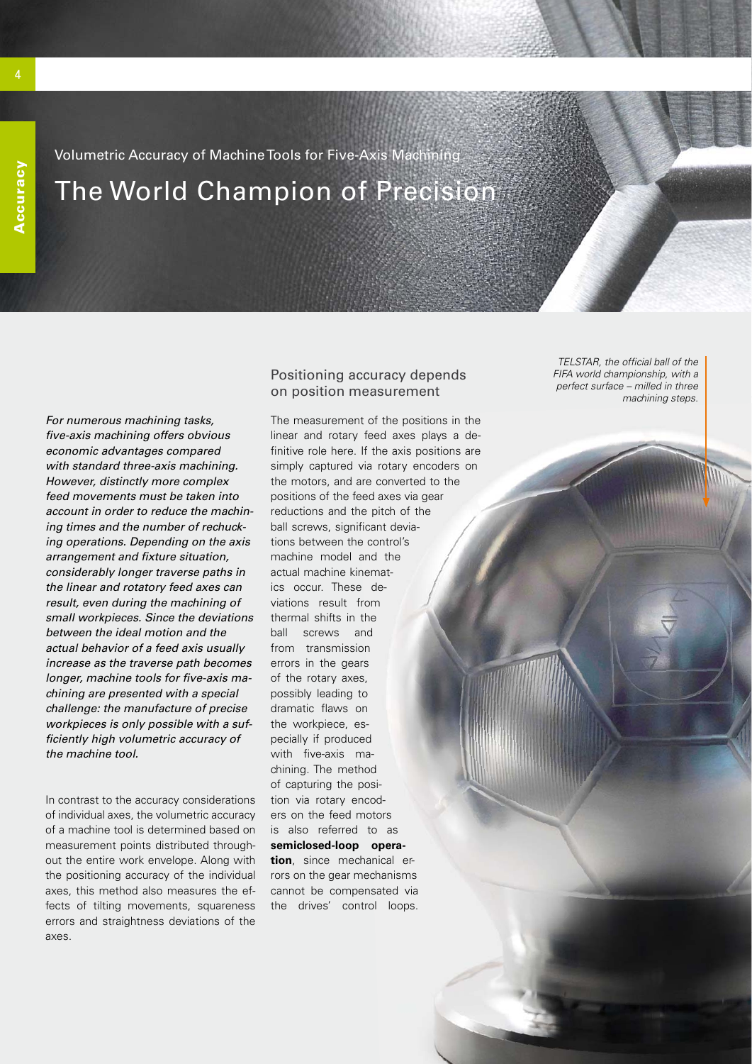Volumetric Accuracy of Machine Tools for Five-Axis Machining The World Champion of Precision

*For numerous machining tasks, fi ve-axis machining offers obvious economic advantages compared with standard three-axis machining. However, distinctly more complex feed movements must be taken into account in order to reduce the machining times and the number of rechucking operations. Depending on the axis arrangement and fi xture situation, considerably longer traverse paths in the linear and rotatory feed axes can result, even during the machining of small workpieces. Since the deviations between the ideal motion and the actual behavior of a feed axis usually increase as the traverse path becomes*  longer, machine tools for five-axis ma*chining are presented with a special challenge: the manufacture of precise workpieces is only possible with a suffi ciently high volumetric accuracy of the machine tool.*

In contrast to the accuracy considerations of individual axes, the volumetric accuracy of a machine tool is determined based on measurement points distributed throughout the entire work envelope. Along with the positioning accuracy of the individual axes, this method also measures the effects of tilting movements, squareness errors and straightness deviations of the axes.

## Positioning accuracy depends on position measurement

The measurement of the positions in the linear and rotary feed axes plays a definitive role here. If the axis positions are simply captured via rotary encoders on the motors, and are converted to the positions of the feed axes via gear reductions and the pitch of the ball screws, significant deviations between the control's machine model and the actual machine kinematics occur. These deviations result from thermal shifts in the ball screws and from transmission errors in the gears of the rotary axes, possibly leading to dramatic flaws on the workpiece, especially if produced with five-axis machining. The method of capturing the position via rotary encoders on the feed motors is also referred to as **semiclosed-loop operation**, since mechanical errors on the gear mechanisms cannot be compensated via the drives' control loops.

*TELSTAR, the official ball of the FIFA world championship, with a perfect surface – milled in three machining steps.*